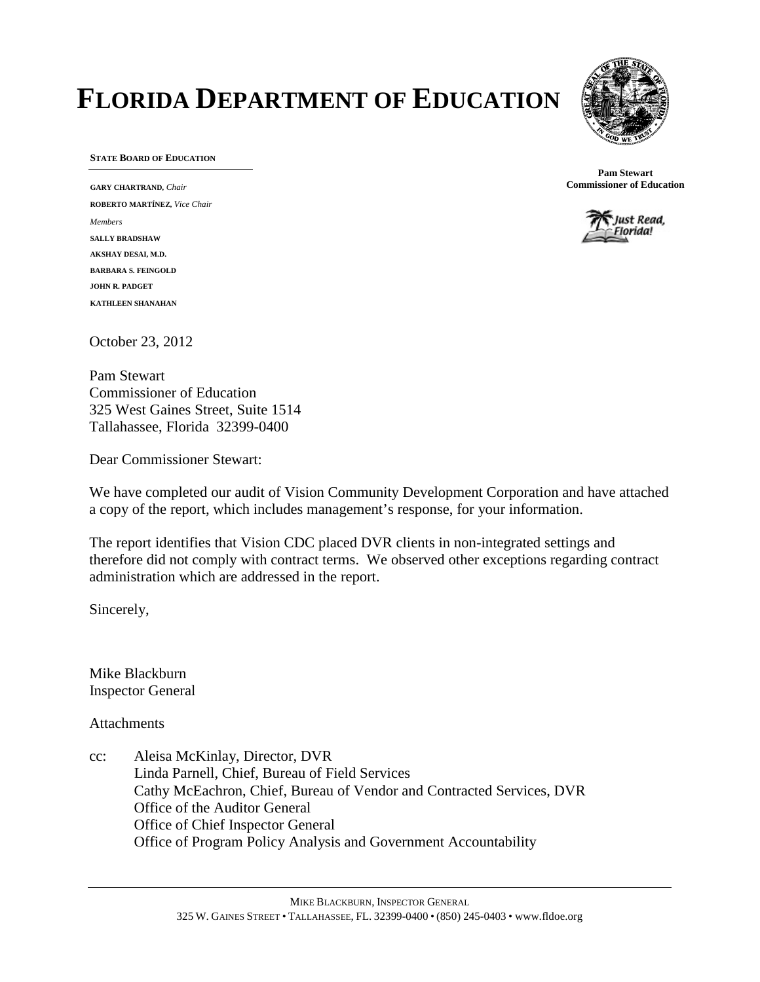# **FLORIDA DEPARTMENT OF EDUCATION**



**STATE BOARD OF EDUCATION**

**GARY CHARTRAND,** *Chair* **ROBERTO MARTÍNEZ,** *Vice Chair Members* **SALLY BRADSHAW AKSHAY DESAI, M.D. BARBARA S. FEINGOLD JOHN R. PADGET KATHLEEN SHANAHAN**

October 23, 2012

Pam Stewart Commissioner of Education 325 West Gaines Street, Suite 1514 Tallahassee, Florida 32399-0400

Dear Commissioner Stewart:

We have completed our audit of Vision Community Development Corporation and have attached a copy of the report, which includes management's response, for your information.

The report identifies that Vision CDC placed DVR clients in non-integrated settings and therefore did not comply with contract terms. We observed other exceptions regarding contract administration which are addressed in the report.

Sincerely,

Mike Blackburn Inspector General

**Attachments** 

cc: Aleisa McKinlay, Director, DVR Linda Parnell, Chief, Bureau of Field Services Cathy McEachron, Chief, Bureau of Vendor and Contracted Services, DVR Office of the Auditor General Office of Chief Inspector General Office of Program Policy Analysis and Government Accountability



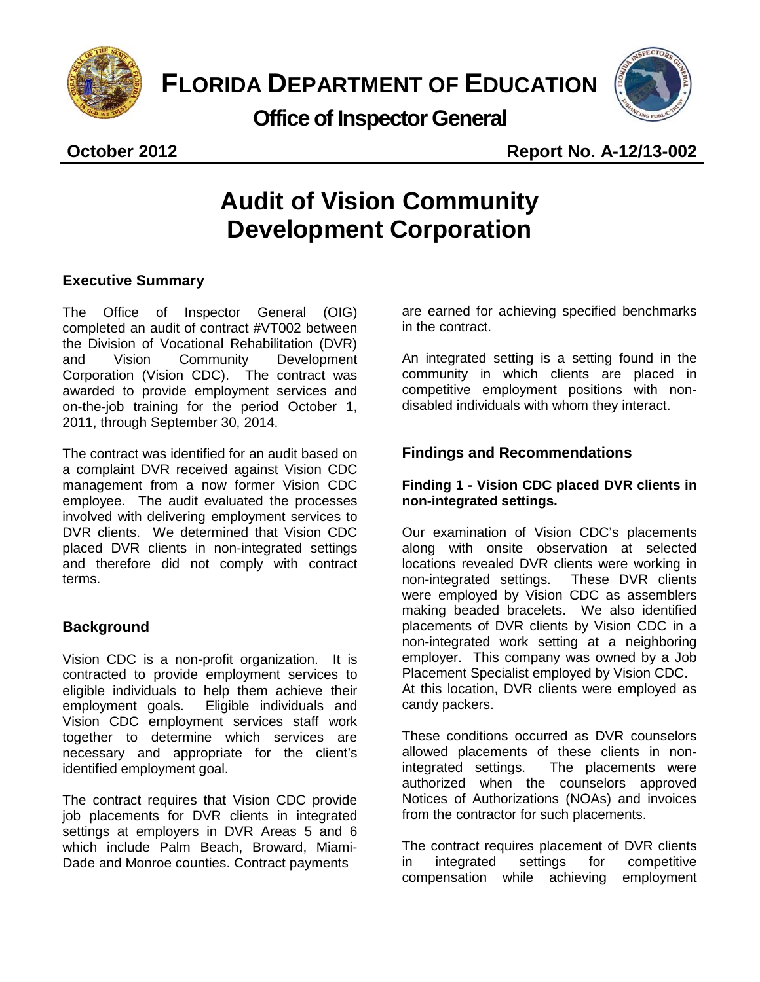

**Office of Inspector General**



**October 2012 Report No. A-12/13-002**

## **Audit of Vision Community Development Corporation**

#### **Executive Summary**

The Office of Inspector General (OIG) completed an audit of contract #VT002 between the Division of Vocational Rehabilitation (DVR) and Vision Community Development Corporation (Vision CDC). The contract was awarded to provide employment services and on-the-job training for the period October 1, 2011, through September 30, 2014.

The contract was identified for an audit based on a complaint DVR received against Vision CDC management from a now former Vision CDC employee. The audit evaluated the processes involved with delivering employment services to DVR clients. We determined that Vision CDC placed DVR clients in non-integrated settings and therefore did not comply with contract terms.

### **Background**

Vision CDC is a non-profit organization. It is contracted to provide employment services to eligible individuals to help them achieve their employment goals. Eligible individuals and Vision CDC employment services staff work together to determine which services are necessary and appropriate for the client's identified employment goal.

The contract requires that Vision CDC provide job placements for DVR clients in integrated settings at employers in DVR Areas 5 and 6 which include Palm Beach, Broward, Miami-Dade and Monroe counties. Contract payments

are earned for achieving specified benchmarks in the contract.

An integrated setting is a setting found in the community in which clients are placed in competitive employment positions with nondisabled individuals with whom they interact.

#### **Findings and Recommendations**

#### **Finding 1 - Vision CDC placed DVR clients in non-integrated settings.**

Our examination of Vision CDC's placements along with onsite observation at selected locations revealed DVR clients were working in non-integrated settings. These DVR clients were employed by Vision CDC as assemblers making beaded bracelets. We also identified placements of DVR clients by Vision CDC in a non-integrated work setting at a neighboring employer. This company was owned by a Job Placement Specialist employed by Vision CDC. At this location, DVR clients were employed as candy packers.

These conditions occurred as DVR counselors allowed placements of these clients in nonintegrated settings. The placements were authorized when the counselors approved Notices of Authorizations (NOAs) and invoices from the contractor for such placements.

The contract requires placement of DVR clients in integrated settings for competitive<br>compensation while achieving emplovment compensation while achieving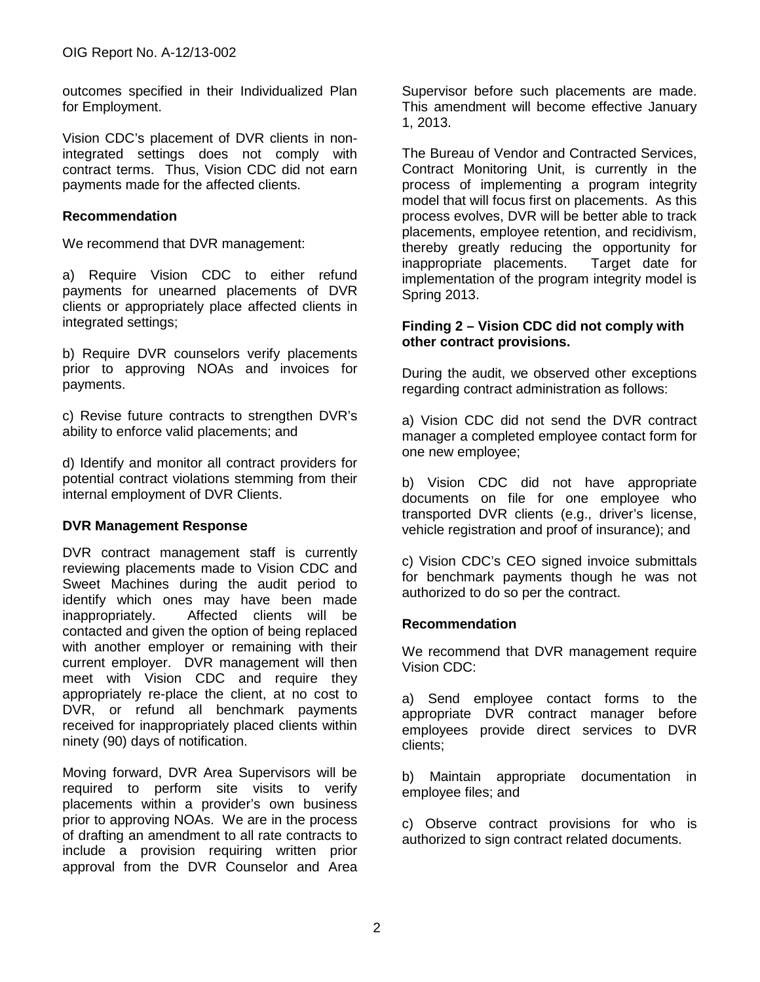outcomes specified in their Individualized Plan for Employment.

Vision CDC's placement of DVR clients in nonintegrated settings does not comply with contract terms. Thus, Vision CDC did not earn payments made for the affected clients.

#### **Recommendation**

We recommend that DVR management:

a) Require Vision CDC to either refund payments for unearned placements of DVR clients or appropriately place affected clients in integrated settings;

b) Require DVR counselors verify placements prior to approving NOAs and invoices for payments.

c) Revise future contracts to strengthen DVR's ability to enforce valid placements; and

d) Identify and monitor all contract providers for potential contract violations stemming from their internal employment of DVR Clients.

#### **DVR Management Response**

DVR contract management staff is currently reviewing placements made to Vision CDC and Sweet Machines during the audit period to identify which ones may have been made inappropriately. Affected clients will be contacted and given the option of being replaced with another employer or remaining with their current employer. DVR management will then meet with Vision CDC and require they appropriately re-place the client, at no cost to DVR, or refund all benchmark payments received for inappropriately placed clients within ninety (90) days of notification.

Moving forward, DVR Area Supervisors will be required to perform site visits to verify placements within a provider's own business prior to approving NOAs. We are in the process of drafting an amendment to all rate contracts to include a provision requiring written prior approval from the DVR Counselor and Area Supervisor before such placements are made. This amendment will become effective January 1, 2013.

The Bureau of Vendor and Contracted Services, Contract Monitoring Unit, is currently in the process of implementing a program integrity model that will focus first on placements. As this process evolves, DVR will be better able to track placements, employee retention, and recidivism, thereby greatly reducing the opportunity for inappropriate placements. Target date for implementation of the program integrity model is Spring 2013.

#### **Finding 2 – Vision CDC did not comply with other contract provisions.**

During the audit, we observed other exceptions regarding contract administration as follows:

a) Vision CDC did not send the DVR contract manager a completed employee contact form for one new employee;

b) Vision CDC did not have appropriate documents on file for one employee who transported DVR clients (e.g., driver's license, vehicle registration and proof of insurance); and

c) Vision CDC's CEO signed invoice submittals for benchmark payments though he was not authorized to do so per the contract.

#### **Recommendation**

We recommend that DVR management require Vision CDC:

a) Send employee contact forms to the appropriate DVR contract manager before employees provide direct services to DVR clients;

b) Maintain appropriate documentation in employee files; and

c) Observe contract provisions for who is authorized to sign contract related documents.